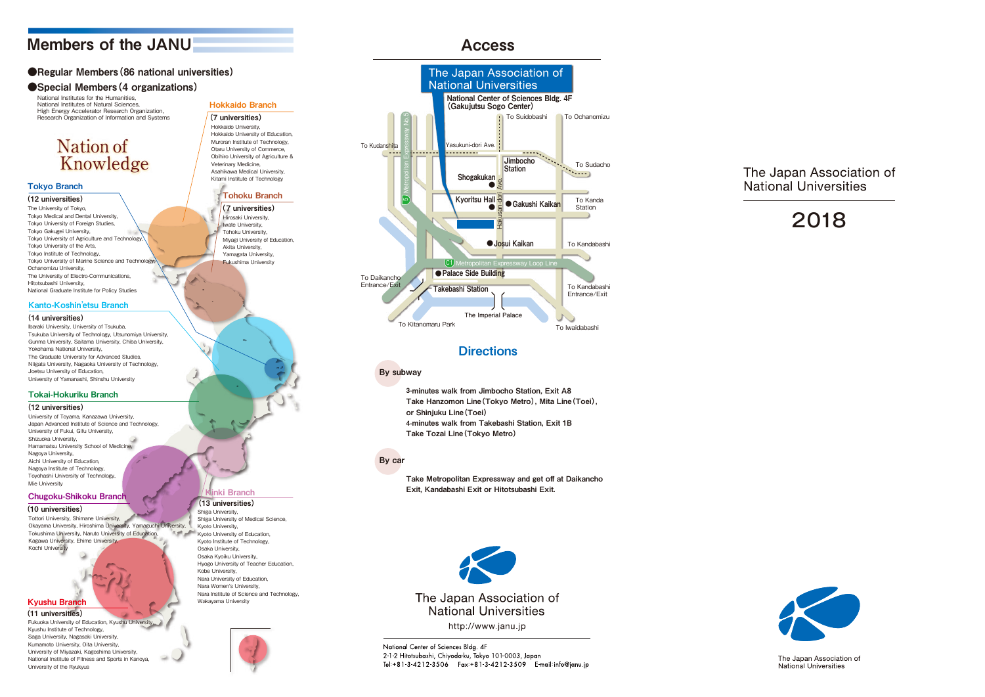## Members of the JANU

## ●Regular Members (86 national universities)

## ● Special Members (4 organizations)

## **Nation of Knowledge**

National Institutes for the Humanities, National Institutes of Natural Sciences, High Energy Accelerator Research Organization, Research Organization of Information and Systems

## Kyushu Branch

### Chugoku-Shikoku Branch

(11 universities)

## (10 universities)

Fukuoka University of Education, Kyushu Universit Kyushu Institute of Technology, Saga University, Nagasaki University, Kumamoto University, Oita University, University of Miyazaki, Kagoshima University, National Institute of Fitness and Sports in Kanoya, University of the Ryukyus

## (13 universities)

Shiga University,

Shiga University of Medical Science, Kyoto University, Kyoto University of Education, Kyoto Institute of Technology, Osaka University, Osaka Kyoiku University, Hyogo University of Teacher Education, Kobe University, Nara University of Education, Nara Women's University, Nara Institute of Science and Technology, Wakayama University



## Tokai-Hokuriku Branch

### (12 universities)

University of Toyama, Kanazawa University, Japan Advanced Institute of Science and Technology, University of Fukui, Gifu University, Shizuoka University, Hamamatsu University School of Medicine, Nagoya University, Aichi University of Education, Nagoya Institute of Technology, Toyohashi University of Technology, Mie University

### Kanto-Koshin 'etsu Branch

### (14 universities)

Ibaraki University, University of Tsukuba, Tsukuba University of Technology, Utsunomiya University, Gunma University, Saitama University, Chiba University, Yokohama National University, The Graduate University for Advanced Studies, Niigata University, Nagaoka University of Technology, Joetsu University of Education, University of Yamanashi, Shinshu University

## Hokkaido Branch (7 universities) Hokkaido University, Hokkaido University of Education, Muroran Institute of Technology, Otaru University of Commerce, Obihiro University of Agriculture & Veterinary Medicine, Asahikawa Medical University, Kitami Institute of Technology Tohoku Branch (7 universities)

Hirosaki University, Iwate University, Tohoku University, Miyagi University of Education, Akita University, Yamagata University, Fukushima University

## inki Branch

## Tokyo Branch

(12 universities) The University of Tokyo, Tokyo Medical and Dental University, Tokyo University of Foreign Studies, Tokyo Gakugei University, Tokyo University of Agriculture and Technology, Tokyo University of the Arts, Tokyo Institute of Technology, Tokyo University of Marine Science and Technology, Ochanomizu University, The University of Electro-Communications, Hitotsubashi University, National Graduate Institute for Policy Studies

Tottori University, Shimane University, Okayama University, Hiroshima University, Yamaguchi University, **Kathar** Tokushima University, Naruto University of Education, Kagawa University, Ehime University, Kochi University

3-minutes walk from Jimbocho Station, Exit A8 Take Hanzomon Line(Tokyo Metro), Mita Line(Toei), or Shinjuku Line(Toei) 4-minutes walk from Takebashi Station, Exit 1B Take Tozai Line(Tokyo Metro)

## Access

## By subway

Take Metropolitan Expressway and get off at Daikancho Exit, Kandabashi Exit or Hitotsubashi Exit.



http://www.janu.jp

National Center of Sciences Bldg. 4F 2-1-2 Hitotsubashi, Chiyoda-ku, Tokyo 101-0003, Japan Tel:+81-3-4212-3506 Fax:+81-3-4212-3509 E-mail:info@janu.jp

## The Japan Association of **National Universities**

# 2018



The Japan Association of National Universities

## By car



## **Directions**